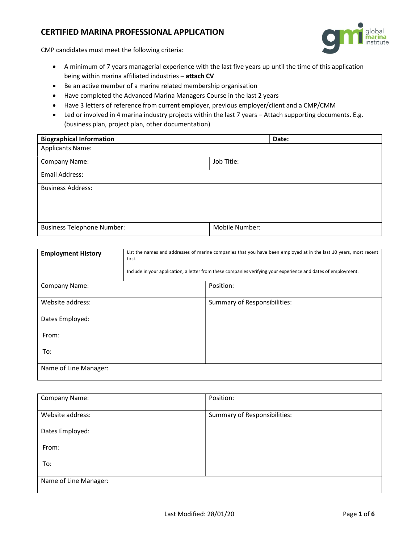## CERTIFIED MARINA PROFESSIONAL APPLICATION



CMP candidates must meet the following criteria:

- A minimum of 7 years managerial experience with the last five years up until the time of this application being within marina affiliated industries - attach CV
- Be an active member of a marine related membership organisation
- Have completed the Advanced Marina Managers Course in the last 2 years
- Have 3 letters of reference from current employer, previous employer/client and a CMP/CMM
- Led or involved in 4 marina industry projects within the last 7 years Attach supporting documents. E.g. (business plan, project plan, other documentation)

| <b>Biographical Information</b>   | Date:          |
|-----------------------------------|----------------|
| <b>Applicants Name:</b>           |                |
| Company Name:                     | Job Title:     |
| Email Address:                    |                |
| <b>Business Address:</b>          |                |
|                                   |                |
|                                   |                |
| <b>Business Telephone Number:</b> | Mobile Number: |

| <b>Employment History</b> | List the names and addresses of marine companies that you have been employed at in the last 10 years, most recent<br>first.<br>Include in your application, a letter from these companies verifying your experience and dates of employment. |                              |
|---------------------------|----------------------------------------------------------------------------------------------------------------------------------------------------------------------------------------------------------------------------------------------|------------------------------|
| Company Name:             |                                                                                                                                                                                                                                              | Position:                    |
| Website address:          |                                                                                                                                                                                                                                              | Summary of Responsibilities: |
| Dates Employed:           |                                                                                                                                                                                                                                              |                              |
| From:                     |                                                                                                                                                                                                                                              |                              |
| To:                       |                                                                                                                                                                                                                                              |                              |
| Name of Line Manager:     |                                                                                                                                                                                                                                              |                              |

| Company Name:         | Position:                    |  |
|-----------------------|------------------------------|--|
| Website address:      | Summary of Responsibilities: |  |
| Dates Employed:       |                              |  |
| From:                 |                              |  |
| To:                   |                              |  |
| Name of Line Manager: |                              |  |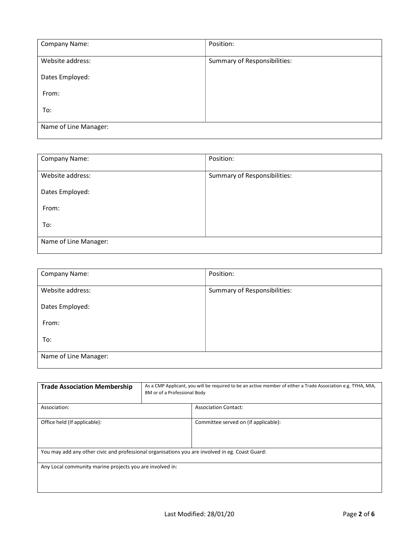| Company Name:         | Position:                    |
|-----------------------|------------------------------|
| Website address:      | Summary of Responsibilities: |
| Dates Employed:       |                              |
| From:                 |                              |
| To:                   |                              |
| Name of Line Manager: |                              |

| Company Name:         | Position:                    |
|-----------------------|------------------------------|
| Website address:      | Summary of Responsibilities: |
| Dates Employed:       |                              |
| From:                 |                              |
| To:                   |                              |
| Name of Line Manager: |                              |

| Company Name:         | Position:                    |  |
|-----------------------|------------------------------|--|
| Website address:      | Summary of Responsibilities: |  |
| Dates Employed:       |                              |  |
| From:                 |                              |  |
| To:                   |                              |  |
| Name of Line Manager: |                              |  |

| <b>Trade Association Membership</b>                                                             | As a CMP Applicant, you will be required to be an active member of either a Trade Association e.g. TYHA, MIA,<br>BM or of a Professional Body |                                      |
|-------------------------------------------------------------------------------------------------|-----------------------------------------------------------------------------------------------------------------------------------------------|--------------------------------------|
| Association:                                                                                    |                                                                                                                                               | <b>Association Contact:</b>          |
| Office held (If applicable):                                                                    |                                                                                                                                               | Committee served on (if applicable): |
| You may add any other civic and professional organisations you are involved in eg. Coast Guard: |                                                                                                                                               |                                      |
| Any Local community marine projects you are involved in:                                        |                                                                                                                                               |                                      |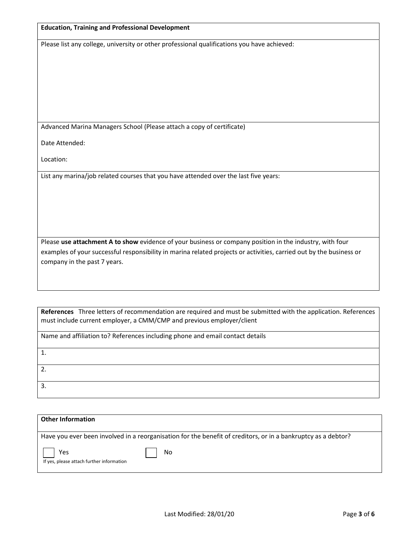#### Education, Training and Professional Development

Please list any college, university or other professional qualifications you have achieved:

Advanced Marina Managers School (Please attach a copy of certificate)

Date Attended:

Location:

List any marina/job related courses that you have attended over the last five years:

Please use attachment A to show evidence of your business or company position in the industry, with four examples of your successful responsibility in marina related projects or activities, carried out by the business or company in the past 7 years.

| References Three letters of recommendation are required and must be submitted with the application. References<br>must include current employer, a CMM/CMP and previous employer/client |
|-----------------------------------------------------------------------------------------------------------------------------------------------------------------------------------------|
| Name and affiliation to? References including phone and email contact details                                                                                                           |
| $\mathbf{1}$                                                                                                                                                                            |
| $\overline{2}$                                                                                                                                                                          |
| $\mathbf{3}$                                                                                                                                                                            |

| <b>Other Information</b>                                                                                                   |
|----------------------------------------------------------------------------------------------------------------------------|
| Have you ever been involved in a reorganisation for the benefit of creditors, or in a bankruptcy as a debtor?<br>Yes<br>No |
| If yes, please attach further information                                                                                  |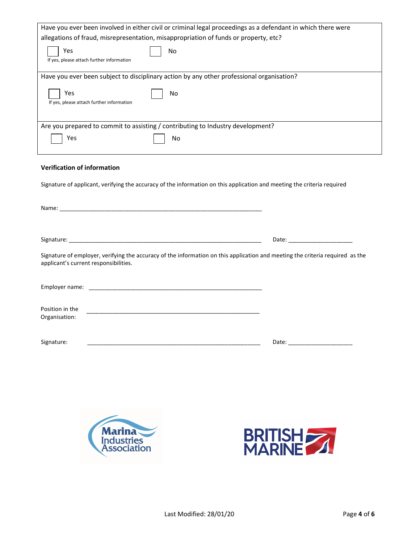| Have you ever been involved in either civil or criminal legal proceedings as a defendant in which there were |  |  |
|--------------------------------------------------------------------------------------------------------------|--|--|
| allegations of fraud, misrepresentation, misappropriation of funds or property, etc?                         |  |  |
| Yes<br>No<br>If yes, please attach further information                                                       |  |  |
| Have you ever been subject to disciplinary action by any other professional organisation?                    |  |  |
| Yes<br>No<br>If yes, please attach further information                                                       |  |  |
| Are you prepared to commit to assisting / contributing to Industry development?                              |  |  |
| Yes<br>No                                                                                                    |  |  |
|                                                                                                              |  |  |

### Verification of information

Signature of applicant, verifying the accuracy of the information on this application and meeting the criteria required

|                                                                                                                                                                        | Date: ____________________                                                                                                                                                                                                     |
|------------------------------------------------------------------------------------------------------------------------------------------------------------------------|--------------------------------------------------------------------------------------------------------------------------------------------------------------------------------------------------------------------------------|
| Signature of employer, verifying the accuracy of the information on this application and meeting the criteria required as the<br>applicant's current responsibilities. |                                                                                                                                                                                                                                |
|                                                                                                                                                                        |                                                                                                                                                                                                                                |
| Position in the<br>Organisation:                                                                                                                                       |                                                                                                                                                                                                                                |
| Signature:                                                                                                                                                             | Date: the contract of the contract of the contract of the contract of the contract of the contract of the contract of the contract of the contract of the contract of the contract of the contract of the contract of the cont |



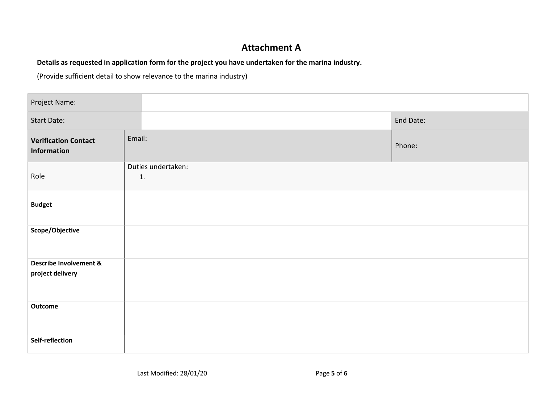# Attachment A

## Details as requested in application form for the project you have undertaken for the marina industry.

(Provide sufficient detail to show relevance to the marina industry)

| Project Name:                                         |                          |           |
|-------------------------------------------------------|--------------------------|-----------|
| <b>Start Date:</b>                                    |                          | End Date: |
| <b>Verification Contact</b><br><b>Information</b>     | Email:                   | Phone:    |
| Role                                                  | Duties undertaken:<br>1. |           |
| <b>Budget</b>                                         |                          |           |
| Scope/Objective                                       |                          |           |
| <b>Describe Involvement &amp;</b><br>project delivery |                          |           |
| <b>Outcome</b>                                        |                          |           |
| Self-reflection                                       |                          |           |